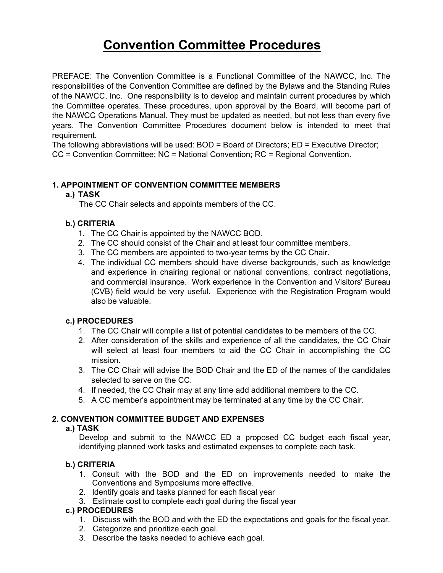# **Convention Committee Procedures**

PREFACE: The Convention Committee is a Functional Committee of the NAWCC, Inc. The responsibilities of the Convention Committee are defined by the Bylaws and the Standing Rules of the NAWCC, Inc. One responsibility is to develop and maintain current procedures by which the Committee operates. These procedures, upon approval by the Board, will become part of the NAWCC Operations Manual. They must be updated as needed, but not less than every five years. The Convention Committee Procedures document below is intended to meet that requirement.

The following abbreviations will be used: BOD = Board of Directors; ED = Executive Director; CC = Convention Committee; NC = National Convention; RC = Regional Convention.

## **1. APPOINTMENT OF CONVENTION COMMITTEE MEMBERS**

## **a.) TASK**

The CC Chair selects and appoints members of the CC.

## **b.) CRITERIA**

- 1. The CC Chair is appointed by the NAWCC BOD.
- 2. The CC should consist of the Chair and at least four committee members.
- 3. The CC members are appointed to two-year terms by the CC Chair.
- 4. The individual CC members should have diverse backgrounds, such as knowledge and experience in chairing regional or national conventions, contract negotiations, and commercial insurance. Work experience in the Convention and Visitors' Bureau (CVB) field would be very useful. Experience with the Registration Program would also be valuable.

## **c.) PROCEDURES**

- 1. The CC Chair will compile a list of potential candidates to be members of the CC.
- 2. After consideration of the skills and experience of all the candidates, the CC Chair will select at least four members to aid the CC Chair in accomplishing the CC mission.
- 3. The CC Chair will advise the BOD Chair and the ED of the names of the candidates selected to serve on the CC.
- 4. If needed, the CC Chair may at any time add additional members to the CC.
- 5. A CC member's appointment may be terminated at any time by the CC Chair.

## **2. CONVENTION COMMITTEE BUDGET AND EXPENSES**

## **a.) TASK**

Develop and submit to the NAWCC ED a proposed CC budget each fiscal year, identifying planned work tasks and estimated expenses to complete each task.

## **b.) CRITERIA**

- 1. Consult with the BOD and the ED on improvements needed to make the Conventions and Symposiums more effective.
- 2. Identify goals and tasks planned for each fiscal year
- 3. Estimate cost to complete each goal during the fiscal year

- 1. Discuss with the BOD and with the ED the expectations and goals for the fiscal year.
- 2. Categorize and prioritize each goal.
- 3. Describe the tasks needed to achieve each goal.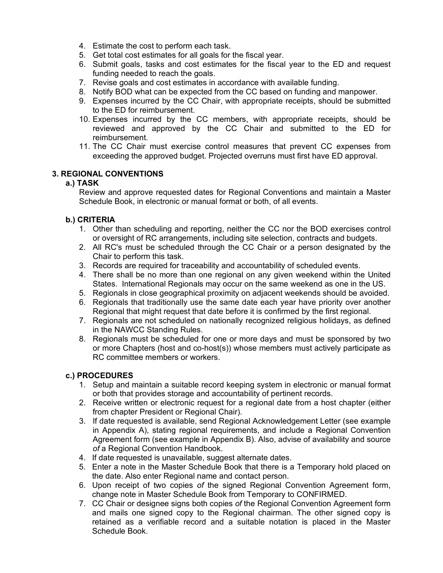- 4. Estimate the cost to perform each task.
- 5. Get total cost estimates for all goals for the fiscal year.
- 6. Submit goals, tasks and cost estimates for the fiscal year to the ED and request funding needed to reach the goals.
- 7. Revise goals and cost estimates in accordance with available funding.
- 8. Notify BOD what can be expected from the CC based on funding and manpower.
- 9. Expenses incurred by the CC Chair, with appropriate receipts, should be submitted to the ED for reimbursement.
- 10. Expenses incurred by the CC members, with appropriate receipts, should be reviewed and approved by the CC Chair and submitted to the ED for reimbursement.
- 11. The CC Chair must exercise control measures that prevent CC expenses from exceeding the approved budget. Projected overruns must first have ED approval.

## **3. REGIONAL CONVENTIONS**

## **a.) TASK**

Review and approve requested dates for Regional Conventions and maintain a Master Schedule Book, in electronic or manual format or both, of all events.

## **b.) CRITERIA**

- 1. Other than scheduling and reporting, neither the CC nor the BOD exercises control or oversight of RC arrangements, including site selection, contracts and budgets.
- 2. All RC's must be scheduled through the CC Chair or a person designated by the Chair to perform this task.
- 3. Records are required for traceability and accountability of scheduled events.
- 4. There shall be no more than one regional on any given weekend within the United States. International Regionals may occur on the same weekend as one in the US.
- 5. Regionals in close geographical proximity on adjacent weekends should be avoided.
- 6. Regionals that traditionally use the same date each year have priority over another Regional that might request that date before it is confirmed by the first regional.
- 7. Regionals are not scheduled on nationally recognized religious holidays, as defined in the NAWCC Standing Rules.
- 8. Regionals must be scheduled for one or more days and must be sponsored by two or more Chapters (host and co-host(s)) whose members must actively participate as RC committee members or workers.

- 1. Setup and maintain a suitable record keeping system in electronic or manual format or both that provides storage and accountability of pertinent records.
- 2. Receive written or electronic request for a regional date from a host chapter (either from chapter President or Regional Chair).
- 3. If date requested is available, send Regional Acknowledgement Letter (see example in Appendix A), stating regional requirements, and include a Regional Convention Agreement form (see example in Appendix B). Also, advise of availability and source *of* a Regional Convention Handbook.
- 4. If date requested is unavailable, suggest alternate dates.
- 5. Enter a note in the Master Schedule Book that there is a Temporary hold placed on the date. Also enter Regional name and contact person.
- 6. Upon receipt of two copies *of* the signed Regional Convention Agreement form, change note in Master Schedule Book from Temporary to CONFIRMED.
- 7. CC Chair or designee signs both copies *of* the Regional Convention Agreement form and mails one signed copy to the Regional chairman. The other signed copy is retained as a verifiable record and a suitable notation is placed in the Master Schedule Book.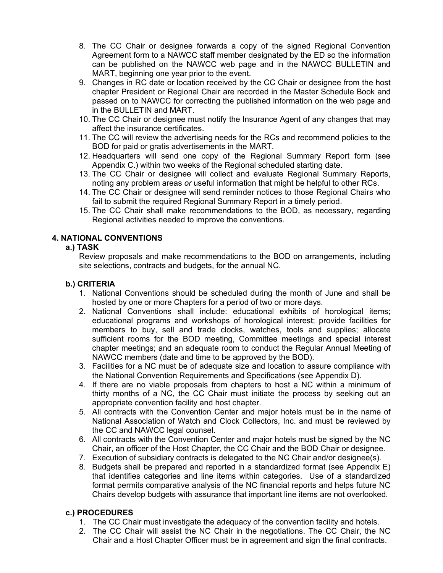- 8. The CC Chair or designee forwards a copy of the signed Regional Convention Agreement form to a NAWCC staff member designated by the ED so the information can be published on the NAWCC web page and in the NAWCC BULLETIN and MART, beginning one year prior to the event.
- 9. Changes in RC date or location received by the CC Chair or designee from the host chapter President or Regional Chair are recorded in the Master Schedule Book and passed on to NAWCC for correcting the published information on the web page and in the BULLETIN and MART.
- 10. The CC Chair or designee must notify the Insurance Agent of any changes that may affect the insurance certificates.
- 11. The CC will review the advertising needs for the RCs and recommend policies to the BOD for paid or gratis advertisements in the MART.
- 12. Headquarters will send one copy of the Regional Summary Report form (see Appendix C.) within two weeks of the Regional scheduled starting date.
- 13. The CC Chair or designee will collect and evaluate Regional Summary Reports, noting any problem areas *or* useful information that might be helpful to other RCs.
- 14. The CC Chair or designee will send reminder notices to those Regional Chairs who fail to submit the required Regional Summary Report in a timely period.
- 15. The CC Chair shall make recommendations to the BOD, as necessary, regarding Regional activities needed to improve the conventions.

# **4. NATIONAL CONVENTIONS**

## **a.) TASK**

Review proposals and make recommendations to the BOD on arrangements, including site selections, contracts and budgets, for the annual NC.

# **b.) CRITERIA**

- 1. National Conventions should be scheduled during the month of June and shall be hosted by one or more Chapters for a period of two or more days.
- 2. National Conventions shall include: educational exhibits of horological items; educational programs and workshops of horological interest; provide facilities for members to buy, sell and trade clocks, watches, tools and supplies; allocate sufficient rooms for the BOD meeting, Committee meetings and special interest chapter meetings; and an adequate room to conduct the Regular Annual Meeting of NAWCC members (date and time to be approved by the BOD).
- 3. Facilities for a NC must be of adequate size and location to assure compliance with the National Convention Requirements and Specifications (see Appendix D).
- 4. If there are no viable proposals from chapters to host a NC within a minimum of thirty months of a NC, the CC Chair must initiate the process by seeking out an appropriate convention facility and host chapter.
- 5. All contracts with the Convention Center and major hotels must be in the name of National Association of Watch and Clock Collectors, Inc. and must be reviewed by the CC and NAWCC legal counsel.
- 6. All contracts with the Convention Center and major hotels must be signed by the NC Chair, an officer of the Host Chapter, the CC Chair and the BOD Chair or designee.
- 7. Execution of subsidiary contracts is delegated to the NC Chair and/or designee(s).
- 8. Budgets shall be prepared and reported in a standardized format (see Appendix E) that identifies categories and line items within categories. Use of a standardized format permits comparative analysis of the NC financial reports and helps future NC Chairs develop budgets with assurance that important line items are not overlooked.

- 1. The CC Chair must investigate the adequacy of the convention facility and hotels.
- 2. The CC Chair will assist the NC Chair in the negotiations. The CC Chair, the NC Chair and a Host Chapter Officer must be in agreement and sign the final contracts.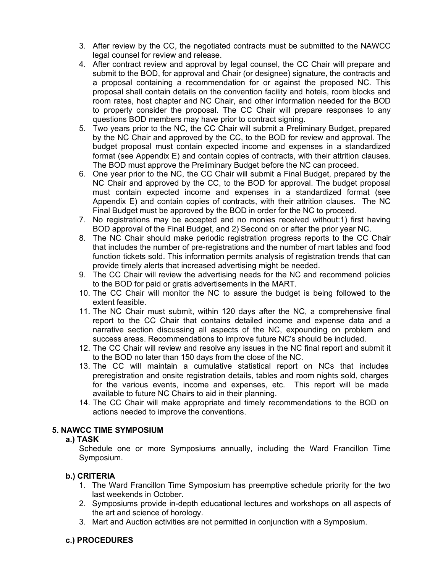- 3. After review by the CC, the negotiated contracts must be submitted to the NAWCC legal counsel for review and release.
- 4. After contract review and approval by legal counsel, the CC Chair will prepare and submit to the BOD, for approval and Chair (or designee) signature, the contracts and a proposal containing a recommendation for or against the proposed NC. This proposal shall contain details on the convention facility and hotels, room blocks and room rates, host chapter and NC Chair, and other information needed for the BOD to properly consider the proposal. The CC Chair will prepare responses to any questions BOD members may have prior to contract signing.
- 5. Two years prior to the NC, the CC Chair will submit a Preliminary Budget, prepared by the NC Chair and approved by the CC, to the BOD for review and approval. The budget proposal must contain expected income and expenses in a standardized format (see Appendix E) and contain copies of contracts, with their attrition clauses. The BOD must approve the Preliminary Budget before the NC can proceed.
- 6. One year prior to the NC, the CC Chair will submit a Final Budget, prepared by the NC Chair and approved by the CC, to the BOD for approval. The budget proposal must contain expected income and expenses in a standardized format (see Appendix E) and contain copies of contracts, with their attrition clauses. The NC Final Budget must be approved by the BOD in order for the NC to proceed.
- 7. No registrations may be accepted and no monies received without:1) first having BOD approval of the Final Budget, and 2) Second on or after the prior year NC.
- 8. The NC Chair should make periodic registration progress reports to the CC Chair that includes the number of pre-registrations and the number of mart tables and food function tickets sold. This information permits analysis of registration trends that can provide timely alerts that increased advertising might be needed.
- 9. The CC Chair will review the advertising needs for the NC and recommend policies to the BOD for paid or gratis advertisements in the MART.
- 10. The CC Chair will monitor the NC to assure the budget is being followed to the extent feasible.
- 11. The NC Chair must submit, within 120 days after the NC, a comprehensive final report to the CC Chair that contains detailed income and expense data and a narrative section discussing all aspects of the NC, expounding on problem and success areas. Recommendations to improve future NC's should be included.
- 12. The CC Chair will review and resolve any issues in the NC final report and submit it to the BOD no later than 150 days from the close of the NC.
- 13. The CC will maintain a cumulative statistical report on NCs that includes preregistration and onsite registration details, tables and room nights sold, charges for the various events, income and expenses, etc. This report will be made available to future NC Chairs to aid in their planning.
- 14. The CC Chair will make appropriate and timely recommendations to the BOD on actions needed to improve the conventions.

## **5. NAWCC TIME SYMPOSIUM**

## **a.) TASK**

Schedule one or more Symposiums annually, including the Ward Francillon Time Symposium.

## **b.) CRlTERIA**

- 1. The Ward Francillon Time Symposium has preemptive schedule priority for the two last weekends in October.
- 2. Symposiums provide in-depth educational lectures and workshops on all aspects of the art and science of horology.
- 3. Mart and Auction activities are not permitted in conjunction with a Symposium.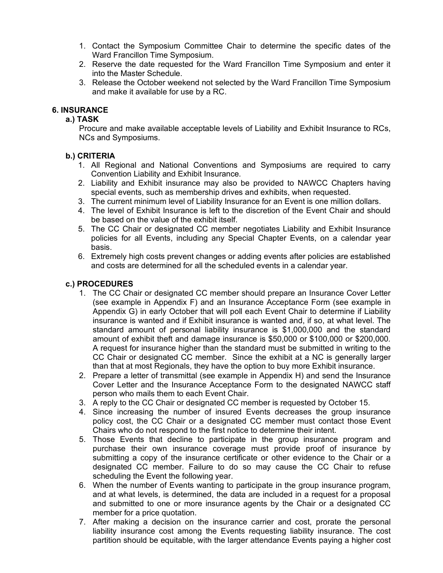- 1. Contact the Symposium Committee Chair to determine the specific dates of the Ward Francillon Time Symposium.
- 2. Reserve the date requested for the Ward Francillon Time Symposium and enter it into the Master Schedule.
- 3. Release the October weekend not selected by the Ward Francillon Time Symposium and make it available for use by a RC.

## **6. INSURANCE**

## **a.) TASK**

Procure and make available acceptable levels of Liability and Exhibit Insurance to RCs, NCs and Symposiums.

## **b.) CRITERIA**

- 1. All Regional and National Conventions and Symposiums are required to carry Convention Liability and Exhibit Insurance.
- 2. Liability and Exhibit insurance may also be provided to NAWCC Chapters having special events, such as membership drives and exhibits, when requested.
- 3. The current minimum level of Liability Insurance for an Event is one million dollars.
- 4. The level of Exhibit Insurance is left to the discretion of the Event Chair and should be based on the value of the exhibit itself.
- 5. The CC Chair or designated CC member negotiates Liability and Exhibit Insurance policies for all Events, including any Special Chapter Events, on a calendar year basis.
- 6. Extremely high costs prevent changes or adding events after policies are established and costs are determined for all the scheduled events in a calendar year.

- 1. The CC Chair or designated CC member should prepare an Insurance Cover Letter (see example in Appendix F) and an Insurance Acceptance Form (see example in Appendix G) in early October that will poll each Event Chair to determine if Liability insurance is wanted and if Exhibit insurance is wanted and, if so, at what level. The standard amount of personal liability insurance is \$1,000,000 and the standard amount of exhibit theft and damage insurance is \$50,000 or \$100,000 or \$200,000*.* A request for insurance higher than the standard must be submitted in writing to the CC Chair or designated CC member. Since the exhibit at a NC is generally larger than that at most Regionals, they have the option to buy more Exhibit insurance.
- 2. Prepare a letter of transmittal (see example in Appendix H) and send the Insurance Cover Letter and the Insurance Acceptance Form to the designated NAWCC staff person who mails them to each Event Chair.
- 3. A reply to the CC Chair or designated CC member is requested by October 15.
- 4. Since increasing the number of insured Events decreases the group insurance policy cost, the CC Chair or a designated CC member must contact those Event Chairs who do not respond to the first notice to determine their intent.
- 5. Those Events that decline to participate in the group insurance program and purchase their own insurance coverage must provide proof of insurance by submitting a copy of the insurance certificate or other evidence to the Chair or a designated CC member. Failure to do so may cause the CC Chair to refuse scheduling the Event the following year.
- 6. When the number of Events wanting to participate in the group insurance program, and at what levels, is determined, the data are included in a request for a proposal and submitted to one or more insurance agents by the Chair or a designated CC member for a price quotation.
- 7. After making a decision on the insurance carrier and cost, prorate the personal liability insurance cost among the Events requesting liability insurance. The cost partition should be equitable, with the larger attendance Events paying a higher cost